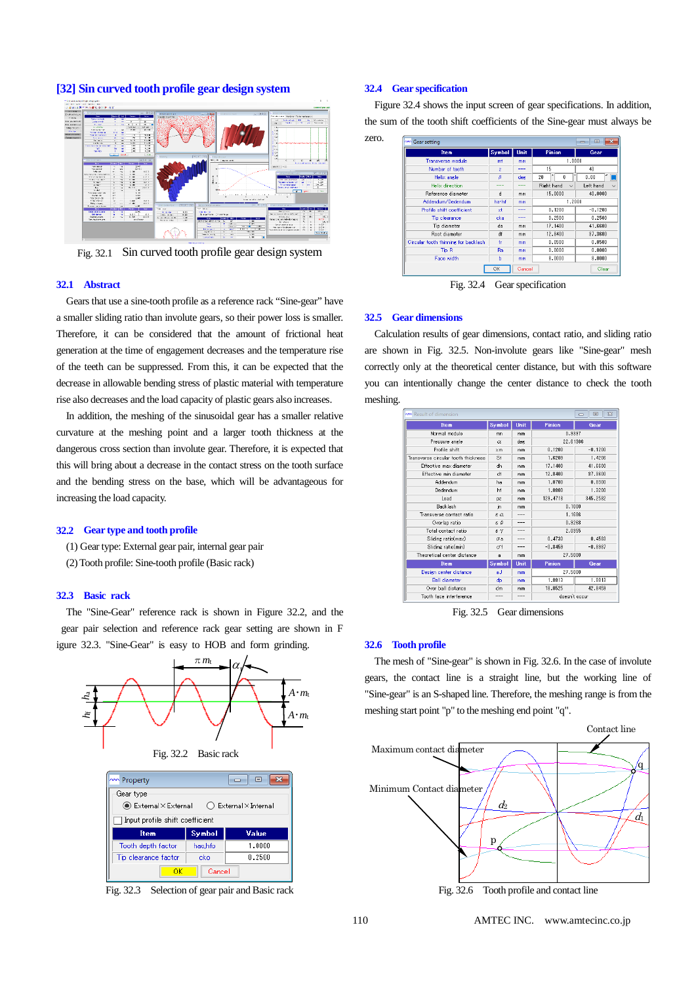

**[32] Sin curved tooth profile gear design system**

Fig. 32.1 Sin curved tooth profile gear design system

#### **32.1 Abstract**

Gears that use a sine-tooth profile as a reference rack "Sine-gear" have a smaller sliding ratio than involute gears, so their power loss is smaller. Therefore, it can be considered that the amount of frictional heat generation at the time of engagement decreases and the temperature rise of the teeth can be suppressed. From this, it can be expected that the decrease in allowable bending stress of plastic material with temperature rise also decreases and the load capacity of plastic gears also increases.

 In addition, the meshing of the sinusoidal gear has a smaller relative curvature at the meshing point and a larger tooth thickness at the dangerous cross section than involute gear. Therefore, it is expected that this will bring about a decrease in the contact stress on the tooth surface and the bending stress on the base, which will be advantageous for increasing the load capacity.

### **32.2 Gear type and tooth profile**

- (1) Gear type: External gear pair, internal gear pair
- (2) Tooth profile: Sine-tooth profile (Basic rack)

# **32.3 Basic rack**

The "Sine-Gear" reference rack is shown in Figure 32.2, and the gear pair selection and reference rack gear setting are shown in F igure 32.3. "Sine-Gear" is easy to HOB and form grinding.



| <b>MAN</b> Property                                          |               | $\mathbf{x}$<br>▣ |  |  |  |  |  |
|--------------------------------------------------------------|---------------|-------------------|--|--|--|--|--|
| Gear type                                                    |               |                   |  |  |  |  |  |
| ◉ External×External<br>$\bigcirc$ External $\times$ Internal |               |                   |  |  |  |  |  |
| Input profile shift coefficient                              |               |                   |  |  |  |  |  |
| <b>Item</b>                                                  | Symbol        | Value             |  |  |  |  |  |
| Tooth depth factor                                           | hao,hfo       | 1.0000            |  |  |  |  |  |
| Tip clearance factor                                         | 0.2500<br>cko |                   |  |  |  |  |  |
| OΚ                                                           | Cancel        |                   |  |  |  |  |  |

Fig. 32.3 Selection of gear pair and Basic rack

### **32.4 Gear specification**

zero.

Figure 32.4 shows the input screen of gear specifications. In addition, the sum of the tooth shift coefficients of the Sine-gear must always be

| <b>Item</b>                          | Symbol         | Unit | Pinion                     | Gear             |
|--------------------------------------|----------------|------|----------------------------|------------------|
| Transverse module                    | mt             | mm   | 1.0000                     |                  |
| Number of teeth                      | $\overline{z}$ | ---  | 15                         | 40               |
| Helix angle                          | β              | deg. | ۰<br>,<br>20<br>n          | $\alpha$<br>0.00 |
| Helix direction.                     | ---            | ---  | Right hand<br>$\checkmark$ | Left hand        |
| Reference diameter                   | d              | mm   | 15,0000                    | 40,0000          |
| Addendum/Dedendum                    | hathf          | mm   | 1.2000                     |                  |
| Profile shift coefficient            | xt             | ---  | 0.1200                     | $-0.1200$        |
| Tip clearance                        | cka            | ---  | 0.2500                     | 0.2500           |
| Tip diameter                         | da             | mm   | 17.1400                    | 41,6600          |
| <b>Root diameter</b>                 | df             | mm   | 12.8400                    | 37.3600          |
| Circular tooth thinning for backlash | fr             | mm   | 0.0500                     | 0.0500           |
| <b>Tip R</b>                         | Ra             | mm   | 0.0000                     | 0.0000           |
| Face width                           | Ь              | mm   | 8.0000                     | 8.0000           |

Fig. 32.4 Gear specification

#### **32.5 Gear dimensions**

Calculation results of gear dimensions, contact ratio, and sliding ratio are shown in Fig. 32.5. Non-involute gears like "Sine-gear" mesh correctly only at the theoretical center distance, but with this software you can intentionally change the center distance to check the tooth meshing.

| w Result of dimension               |                        |      |               | $\Sigma$<br>$\Box$<br>$\equiv$ |  |
|-------------------------------------|------------------------|------|---------------|--------------------------------|--|
| <b>Item</b>                         | Symbol                 | Unit | Pinion        | Gear                           |  |
| Normal module                       | mn                     | mm   | 0.9397        |                                |  |
| Pressure angle                      | α                      | deg  | 22.61986      |                                |  |
| Profile shift                       | $\times m$             | mm   | 0.1200        | $-0.1200$                      |  |
| Transverse circular tooth thickness | St                     | mm   | 1.6209        | 1.4206                         |  |
| Effective max diameter              | dh                     | mm   | 17.1400       | 41.6600                        |  |
| Effective min diameter              | dt                     | mm   | 12,8400       | 37,3600                        |  |
| Addendum                            | ha                     | mm   | 1.0700        | 0.8300                         |  |
| Dedendum                            | hf                     | mm   | 1,0800        | 1,3200                         |  |
| Lead                                | DZ                     | mm   | 129.4718      | 345.2582                       |  |
| <b>Backlash</b>                     | in                     | mm   | 0.1000        |                                |  |
| Transverse contact ratio            | $\epsilon \alpha$      |      | 1.1686        |                                |  |
| Overlap ratio                       | εβ                     | ---  | 0.9268        |                                |  |
| Total contact ratio                 | $\varepsilon$ $\gamma$ |      | 2.0955        |                                |  |
| Sliding ratio(max)                  | σa                     |      | 0.4733        | 0.4583                         |  |
| Sliding ratio(min)                  | σf                     | ---  | $-0.8459$     | $-0.8987$                      |  |
| Theoretical center distance         | a                      | mm   | 27,5000       |                                |  |
| <b>Item</b>                         | Symbol                 | Unit | Pinion        | Gear                           |  |
| Design center distance              | aJ                     | mm   | 27.5000       |                                |  |
| <b>Ball diameter</b>                | dp                     | mm   | 1.8813        | 1.8813                         |  |
| Over hall distance                  | dm                     | mm   | 18.0525       | 42.8459                        |  |
| Tooth face interference             | ----                   | ---  | doesn't occur |                                |  |

Fig. 32.5 Gear dimensions

#### **32.6 Tooth profile**

The mesh of "Sine-gear" is shown in Fig. 32.6. In the case of involute gears, the contact line is a straight line, but the working line of "Sine-gear" is an S-shaped line. Therefore, the meshing range is from the meshing start point "p" to the meshing end point "q".

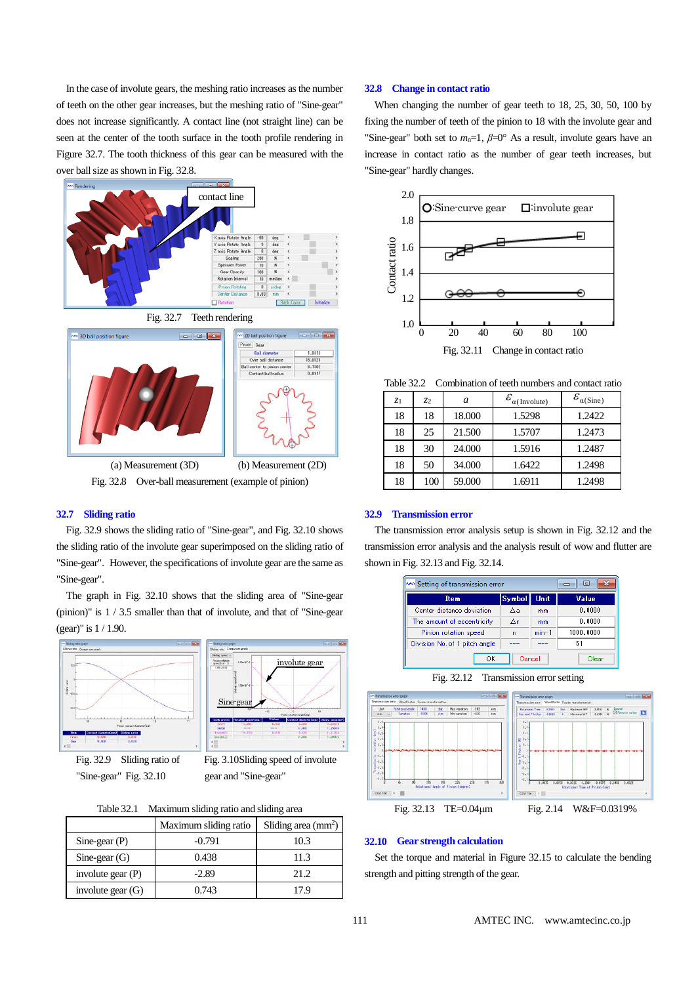In the case of involute gears, the meshing ratio increases as the number of teeth on the other gear increases, but the meshing ratio of "Sine-gear" does not increase significantly. A contact line (not straight line) can be seen at the center of the tooth surface in the tooth profile rendering in Figure 32.7. The tooth thickness of this gear can be measured with the over ball size as shown in Fig. 32.8.







Fig. 32.8 Over-ball measurement (example of pinion)

### **32.7 Sliding ratio**

Fig. 32.9 shows the sliding ratio of "Sine-gear", and Fig. 32.10 shows the sliding ratio of the involute gear superimposed on the sliding ratio of "Sine-gear". However, the specifications of involute gear are the same as "Sine-gear".

The graph in Fig. 32.10 shows that the sliding area of "Sine-gear (pinion)" is 1 / 3.5 smaller than that of involute, and that of "Sine-gear (gear)" is 1 / 1.90.



"Sine-gear" Fig. 32.10 gear and "Sine-gear"



| Table 32.1 |  |  | Maximum sliding ratio and sliding area |
|------------|--|--|----------------------------------------|
|------------|--|--|----------------------------------------|

|                     | Maximum sliding ratio | Sliding area $\text{(mm}^2)$ |
|---------------------|-----------------------|------------------------------|
| Sine-gear $(P)$     | -0.791                | 10.3                         |
| Sine-gear $(G)$     | 0.438                 | 11.3                         |
| involute gear $(P)$ | $-2.89$               | 21.2                         |
| involute gear $(G)$ | 0.743                 | 17 9                         |

### **32.8 Change in contact ratio**

When changing the number of gear teeth to 18, 25, 30, 50, 100 by fixing the number of teeth of the pinion to 18 with the involute gear and "Sine-gear" both set to  $m_n=1$ ,  $\beta=0^\circ$  As a result, involute gears have an increase in contact ratio as the number of gear teeth increases, but "Sine-gear" hardly changes.



Table 32.2 Combination of teeth numbers and contact ratio

| Z1 | Z <sub>2</sub> | a      | $\mathcal{E}_{\alpha(\text{Involute})}$ | $\mathcal{E}_{\alpha(\text{Sine})}$ |
|----|----------------|--------|-----------------------------------------|-------------------------------------|
| 18 | 18             | 18.000 | 1.5298                                  | 1.2422                              |
| 18 | 25             | 21.500 | 1.5707                                  | 1.2473                              |
| 18 | 30             | 24.000 | 1.5916                                  | 1.2487                              |
| 18 | 50             | 34.000 | 1.6422                                  | 1.2498                              |
| 18 | 100            | 59.000 | 1.6911                                  | 1.2498                              |

#### **32.9 Transmission error**

The transmission error analysis setup is shown in Fig. 32.12 and the transmission error analysis and the analysis result of wow and flutter are shown in Fig. 32.13 and Fig. 32.14.



Fig. 32.12 Transmission error setting



## **32.10 Gear strength calculation**

Set the torque and material in Figure 32.15 to calculate the bending strength and pitting strength of the gear.